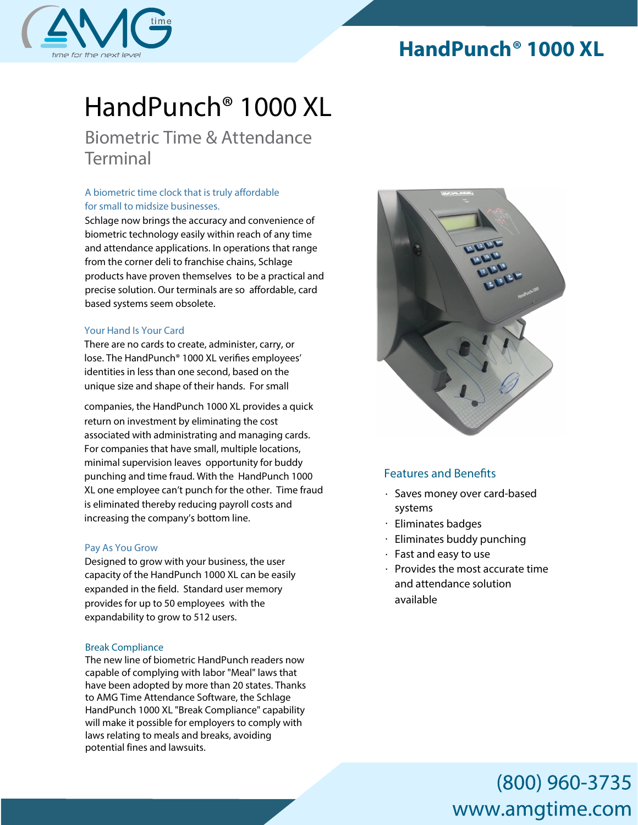# **HandPunch® 1000 XL**



# *HandPunch® 1000* XL

## *Biometric Time & Attendance Terminal*

### *A biometric time clock that is truly* affordable *for small to midsize businesses.*

Schlage now brings the accuracy and convenience of biometric technology easily within reach of any time and attendance applications. In operations that range from the corner deli to franchise chains, Schlage products have proven themselves to be a practical and precise solution. Our terminals are so affordable, card based systems seem obsolete.

### *Your Hand Is Your Card*

There are no cards to create, administer, carry, or lose. The HandPunch® 1000 XL verifies employees' identities in less than one second, based on the unique size and shape of their hands. For small

companies, the HandPunch 1000 XL provides a quick return on investment by eliminating the cost associated with administrating and managing cards. For companies that have small, multiple locations, minimal supervision leaves opportunity for buddy punching and time fraud. With the HandPunch 1000 XL one employee can't punch for the other. Time fraud is eliminated thereby reducing payroll costs and increasing the company's bottom line.

### *Pay As You Grow*

Designed to grow with your business, the user capacity of the HandPunch 1000 XL can be easily expanded in the field. Standard user memory provides for up to 50 employees with the expandability to grow to 512 users.

### Break Compliance

The new line of biometric HandPunch readers now capable of complying with labor "Meal" laws that have been adopted by more than 20 states. Thanks to AMG Time Attendance Software, the Schlage HandPunch 1000 XL "Break Compliance" capability will make it possible for employers to comply with laws relating to meals and breaks, avoiding potential fines and lawsuits.



### **Features and Benefits**

- Saves money over card-based systems
- Eliminates badges
- $\cdot$  Eliminates buddy punching
- $\cdot$  Fast and easy to use
- $\cdot$  Provides the most accurate time and attendance solution available

# (800) 960-3735 www.amgtime.com